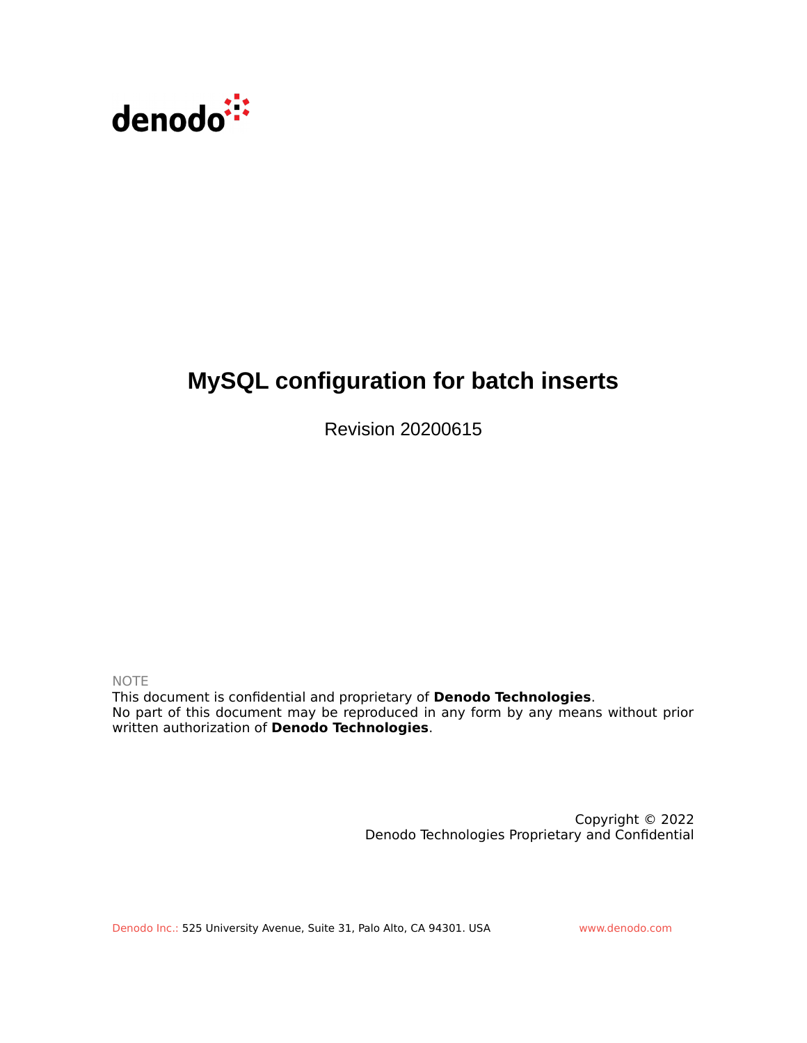

## **MySQL configuration for batch inserts**

Revision 20200615

NOTE

This document is confidential and proprietary of **Denodo Technologies**. No part of this document may be reproduced in any form by any means without prior written authorization of **Denodo Technologies**.

> Copyright © 2022 Denodo Technologies Proprietary and Confidential

Denodo Inc.: 525 University Avenue, Suite 31, Palo Alto, CA 94301. USA www.denodo.com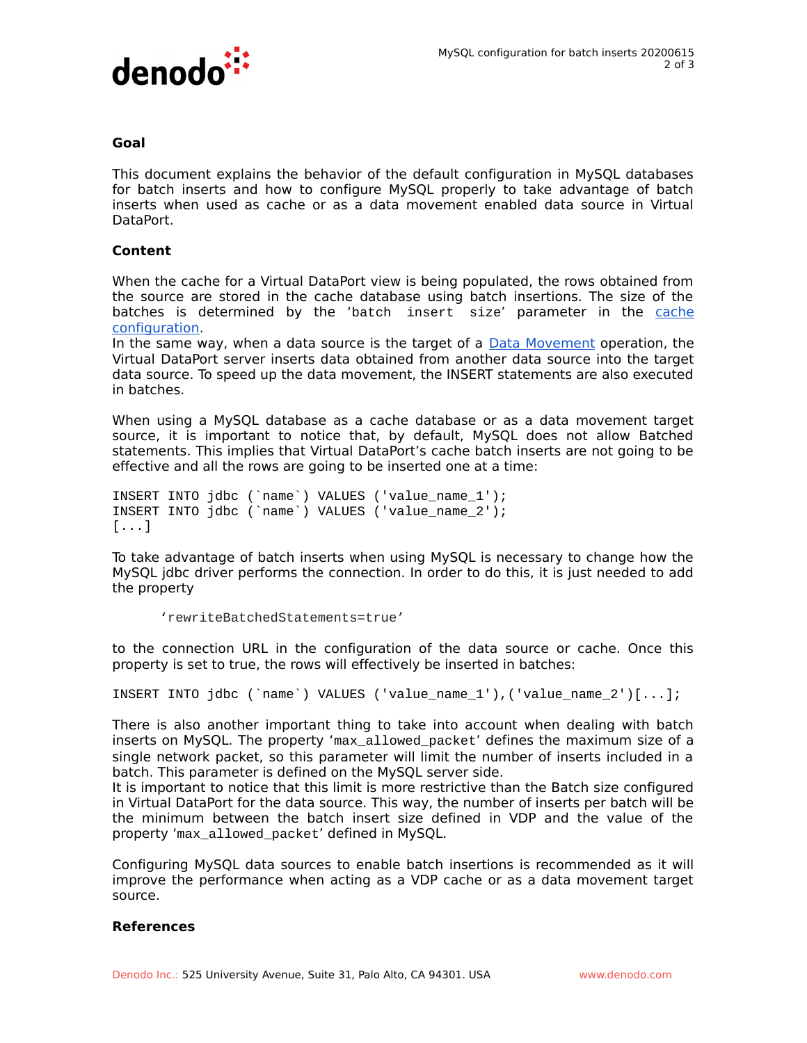

## **Goal**

This document explains the behavior of the default configuration in MySQL databases for batch inserts and how to configure MySQL properly to take advantage of batch inserts when used as cache or as a data movement enabled data source in Virtual DataPort.

## **Content**

When the cache for a Virtual DataPort view is being populated, the rows obtained from the source are stored in the cache database using batch insertions. The size of the batches is determined by the 'batch insert size' parameter in the [cache](https://community.denodo.com/docs/html/browse/8.0/vdp/administration/server_configuration/configuring_the_cache/configuring_the_cache#configuring-the-cache) [configuration.](https://community.denodo.com/docs/html/browse/8.0/vdp/administration/server_configuration/configuring_the_cache/configuring_the_cache#configuring-the-cache)

In the same way, when a data source is the target of a [Data Movement](https://community.denodo.com/docs/html/browse/8.0/vdp/administration/optimizing_queries/data_movement/data_movement) operation, the Virtual DataPort server inserts data obtained from another data source into the target data source. To speed up the data movement, the INSERT statements are also executed in batches.

When using a MySQL database as a cache database or as a data movement target source, it is important to notice that, by default, MySQL does not allow Batched statements. This implies that Virtual DataPort's cache batch inserts are not going to be effective and all the rows are going to be inserted one at a time:

INSERT INTO jdbc (`name`) VALUES ('value\_name\_1'); INSERT INTO jdbc (`name`) VALUES ('value\_name\_2'); [...]

To take advantage of batch inserts when using MySQL is necessary to change how the MySQL jdbc driver performs the connection. In order to do this, it is just needed to add the property

'rewriteBatchedStatements=true'

to the connection URL in the configuration of the data source or cache. Once this property is set to true, the rows will effectively be inserted in batches:

INSERT INTO jdbc (`name`) VALUES ('value\_name\_1'),('value\_name\_2')[...];

There is also another important thing to take into account when dealing with batch inserts on MySQL. The property 'max\_allowed\_packet' defines the maximum size of a single network packet, so this parameter will limit the number of inserts included in a batch. This parameter is defined on the MySQL server side.

It is important to notice that this limit is more restrictive than the Batch size configured in Virtual DataPort for the data source. This way, the number of inserts per batch will be the minimum between the batch insert size defined in VDP and the value of the property 'max\_allowed\_packet' defined in MySQL.

Configuring MySQL data sources to enable batch insertions is recommended as it will improve the performance when acting as a VDP cache or as a data movement target source.

## **References**